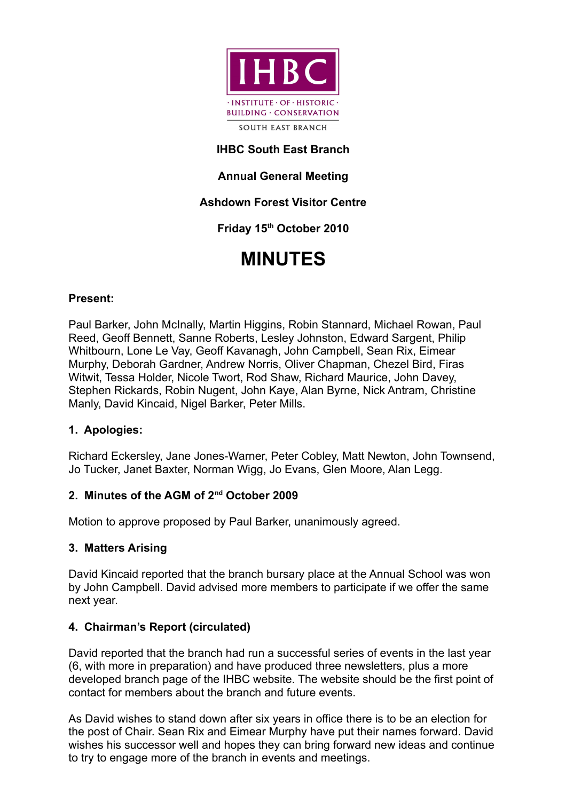

## **IHBC South East Branch**

## **Annual General Meeting**

## **Ashdown Forest Visitor Centre**

# **Friday 15th October 2010**

# **MINUTES**

#### **Present:**

Paul Barker, John McInally, Martin Higgins, Robin Stannard, Michael Rowan, Paul Reed, Geoff Bennett, Sanne Roberts, Lesley Johnston, Edward Sargent, Philip Whitbourn, Lone Le Vay, Geoff Kavanagh, John Campbell, Sean Rix, Eimear Murphy, Deborah Gardner, Andrew Norris, Oliver Chapman, Chezel Bird, Firas Witwit, Tessa Holder, Nicole Twort, Rod Shaw, Richard Maurice, John Davey, Stephen Rickards, Robin Nugent, John Kaye, Alan Byrne, Nick Antram, Christine Manly, David Kincaid, Nigel Barker, Peter Mills.

## **1. Apologies:**

Richard Eckersley, Jane Jones-Warner, Peter Cobley, Matt Newton, John Townsend, Jo Tucker, Janet Baxter, Norman Wigg, Jo Evans, Glen Moore, Alan Legg.

#### **2. Minutes of the AGM of 2nd October 2009**

Motion to approve proposed by Paul Barker, unanimously agreed.

#### **3. Matters Arising**

David Kincaid reported that the branch bursary place at the Annual School was won by John Campbell. David advised more members to participate if we offer the same next year.

## **4. Chairman's Report (circulated)**

David reported that the branch had run a successful series of events in the last year (6, with more in preparation) and have produced three newsletters, plus a more developed branch page of the IHBC website. The website should be the first point of contact for members about the branch and future events.

As David wishes to stand down after six years in office there is to be an election for the post of Chair. Sean Rix and Eimear Murphy have put their names forward. David wishes his successor well and hopes they can bring forward new ideas and continue to try to engage more of the branch in events and meetings.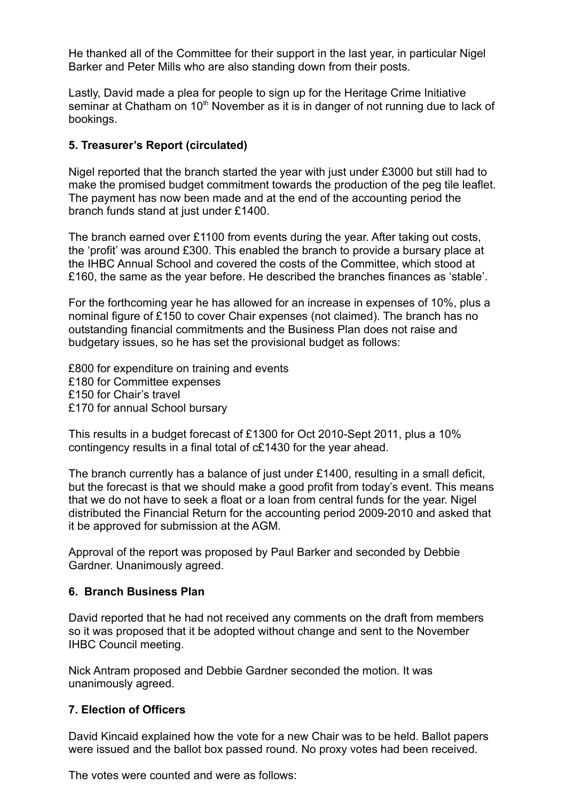He thanked all of the Committee for their support in the last year, in particular Nigel Barker and Peter Mills who are also standing down from their posts.

Lastly, David made a plea for people to sign up for the Heritage Crime Initiative seminar at Chatham on 10<sup>th</sup> November as it is in danger of not running due to lack of bookings.

### **5. Treasurer's Report (circulated)**

Nigel reported that the branch started the year with just under £3000 but still had to make the promised budget commitment towards the production of the peg tile leaflet. The payment has now been made and at the end of the accounting period the branch funds stand at just under £1400.

The branch earned over £1100 from events during the year. After taking out costs, the 'profit' was around £300. This enabled the branch to provide a bursary place at the IHBC Annual School and covered the costs of the Committee, which stood at £160, the same as the year before. He described the branches finances as 'stable'.

For the forthcoming year he has allowed for an increase in expenses of 10%, plus a nominal figure of £150 to cover Chair expenses (not claimed). The branch has no outstanding financial commitments and the Business Plan does not raise and budgetary issues, so he has set the provisional budget as follows:

£800 for expenditure on training and events £180 for Committee expenses £150 for Chair's travel £170 for annual School bursary

This results in a budget forecast of £1300 for Oct 2010-Sept 2011, plus a 10% contingency results in a final total of c£1430 for the year ahead.

The branch currently has a balance of just under £1400, resulting in a small deficit, but the forecast is that we should make a good profit from today's event. This means that we do not have to seek a float or a loan from central funds for the year. Nigel distributed the Financial Return for the accounting period 2009-2010 and asked that it be approved for submission at the AGM.

Approval of the report was proposed by Paul Barker and seconded by Debbie Gardner. Unanimously agreed.

#### **6. Branch Business Plan**

David reported that he had not received any comments on the draft from members so it was proposed that it be adopted without change and sent to the November IHBC Council meeting.

Nick Antram proposed and Debbie Gardner seconded the motion. It was unanimously agreed.

#### **7. Election of Officers**

David Kincaid explained how the vote for a new Chair was to be held. Ballot papers were issued and the ballot box passed round. No proxy votes had been received.

The votes were counted and were as follows: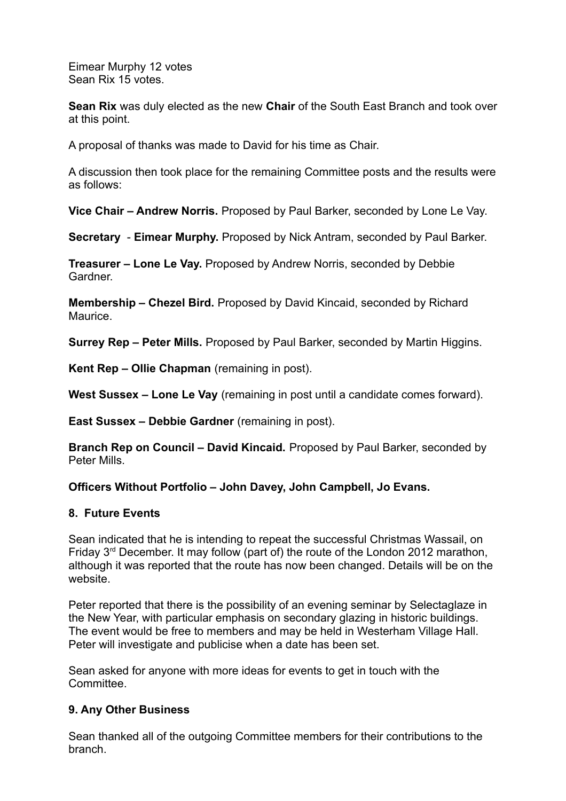Eimear Murphy 12 votes Sean Rix 15 votes.

**Sean Rix** was duly elected as the new **Chair** of the South East Branch and took over at this point.

A proposal of thanks was made to David for his time as Chair.

A discussion then took place for the remaining Committee posts and the results were as follows:

**Vice Chair – Andrew Norris.** Proposed by Paul Barker, seconded by Lone Le Vay.

**Secretary** - **Eimear Murphy.** Proposed by Nick Antram, seconded by Paul Barker.

**Treasurer – Lone Le Vay.** Proposed by Andrew Norris, seconded by Debbie Gardner.

**Membership – Chezel Bird.** Proposed by David Kincaid, seconded by Richard Maurice.

**Surrey Rep – Peter Mills.** Proposed by Paul Barker, seconded by Martin Higgins.

**Kent Rep – Ollie Chapman** (remaining in post).

**West Sussex – Lone Le Vay** (remaining in post until a candidate comes forward).

**East Sussex – Debbie Gardner** (remaining in post).

**Branch Rep on Council – David Kincaid.** Proposed by Paul Barker, seconded by Peter Mills.

## **Officers Without Portfolio – John Davey, John Campbell, Jo Evans.**

#### **8. Future Events**

Sean indicated that he is intending to repeat the successful Christmas Wassail, on Friday  $3<sup>rd</sup>$  December. It may follow (part of) the route of the London 2012 marathon, although it was reported that the route has now been changed. Details will be on the website.

Peter reported that there is the possibility of an evening seminar by Selectaglaze in the New Year, with particular emphasis on secondary glazing in historic buildings. The event would be free to members and may be held in Westerham Village Hall. Peter will investigate and publicise when a date has been set.

Sean asked for anyone with more ideas for events to get in touch with the **Committee.** 

## **9. Any Other Business**

Sean thanked all of the outgoing Committee members for their contributions to the branch.